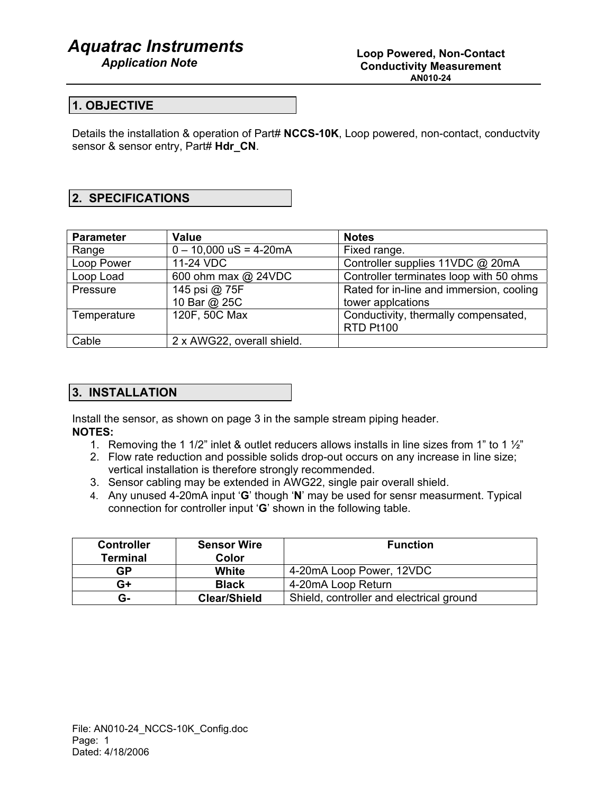## *Aquatrac Instruments*

### **1. OBJECTIVE**

Details the installation & operation of Part# **NCCS-10K**, Loop powered, non-contact, conductvity sensor & sensor entry, Part# **Hdr\_CN**.

## **2. SPECIFICATIONS**

| <b>Parameter</b> | <b>Value</b>               | <b>Notes</b>                             |
|------------------|----------------------------|------------------------------------------|
| Range            | $0 - 10,000$ uS = 4-20mA   | Fixed range.                             |
| Loop Power       | 11-24 VDC                  | Controller supplies 11VDC @ 20mA         |
| Loop Load        | 600 ohm max @ 24VDC        | Controller terminates loop with 50 ohms  |
| Pressure         | 145 psi @ 75F              | Rated for in-line and immersion, cooling |
|                  | 10 Bar @ 25C               | tower applcations                        |
| Temperature      | 120F, 50C Max              | Conductivity, thermally compensated,     |
|                  |                            | RTD Pt100                                |
| Cable            | 2 x AWG22, overall shield. |                                          |

#### **3. INSTALLATION**

Install the sensor, as shown on page 3 in the sample stream piping header. **NOTES:** 

- 1. Removing the 1 1/2" inlet & outlet reducers allows installs in line sizes from 1" to 1 ½"
- 2. Flow rate reduction and possible solids drop-out occurs on any increase in line size; vertical installation is therefore strongly recommended.
- 3. Sensor cabling may be extended in AWG22, single pair overall shield.
- 4. Any unused 4-20mA input '**G**' though '**N**' may be used for sensr measurment. Typical connection for controller input '**G**' shown in the following table.

| <b>Controller</b><br><b>Terminal</b> | <b>Sensor Wire</b><br>Color | <b>Function</b>                          |  |
|--------------------------------------|-----------------------------|------------------------------------------|--|
| GP                                   | White                       | 4-20mA Loop Power, 12VDC                 |  |
| G+                                   | <b>Black</b>                | 4-20mA Loop Return                       |  |
| G-                                   | <b>Clear/Shield</b>         | Shield, controller and electrical ground |  |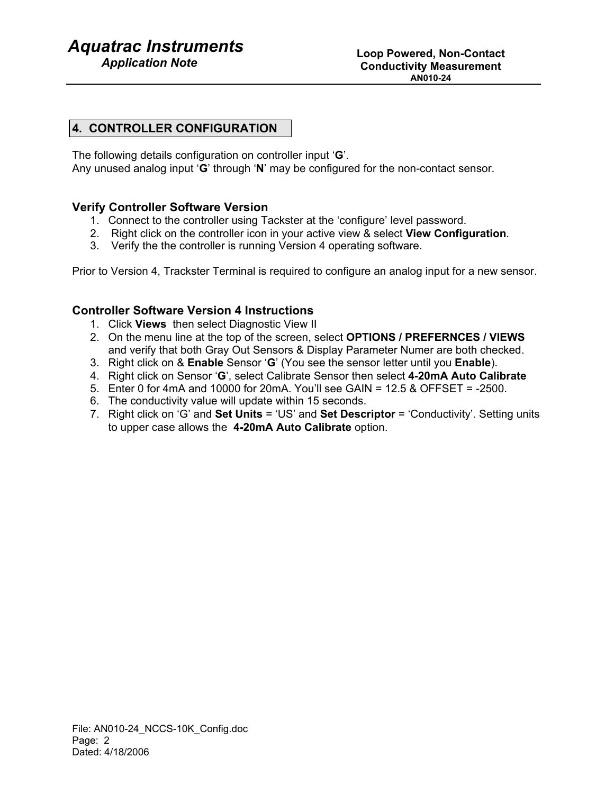## *Aquatrac Instruments*

## **4. CONTROLLER CONFIGURATION**

The following details configuration on controller input '**G**'.

Any unused analog input '**G**' through '**N**' may be configured for the non-contact sensor.

## **Verify Controller Software Version**

- 1. Connect to the controller using Tackster at the 'configure' level password.
- 2. Right click on the controller icon in your active view & select **View Configuration**.
- 3. Verify the the controller is running Version 4 operating software.

Prior to Version 4, Trackster Terminal is required to configure an analog input for a new sensor.

## **Controller Software Version 4 Instructions**

- 1. Click **Views** then select Diagnostic View II
- 2. On the menu line at the top of the screen, select **OPTIONS / PREFERNCES / VIEWS** and verify that both Gray Out Sensors & Display Parameter Numer are both checked.
- 3. Right click on & **Enable** Sensor '**G**' (You see the sensor letter until you **Enable**).
- 4. Right click on Sensor '**G**', select Calibrate Sensor then select **4-20mA Auto Calibrate**
- 5. Enter 0 for 4mA and 10000 for 20mA. You'll see GAIN = 12.5 & OFFSET = -2500.
- 6. The conductivity value will update within 15 seconds.
- 7. Right click on 'G' and **Set Units** = 'US' and **Set Descriptor** = 'Conductivity'. Setting units to upper case allows the **4-20mA Auto Calibrate** option.